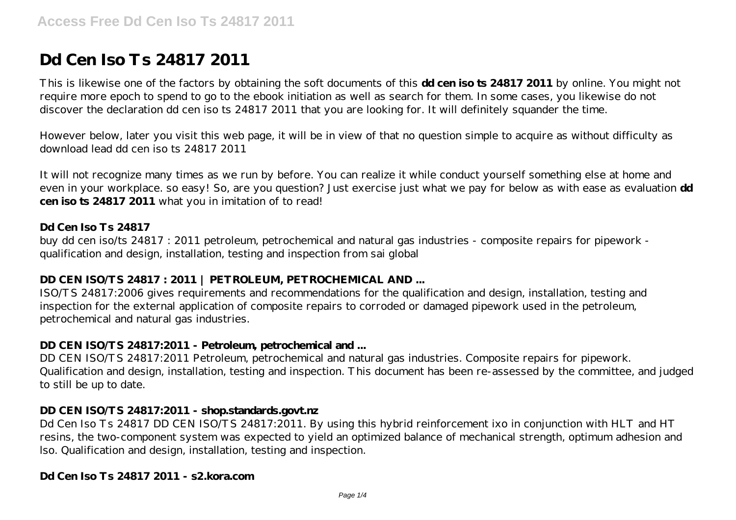# **Dd Cen Iso Ts 24817 2011**

This is likewise one of the factors by obtaining the soft documents of this **dd cen iso ts 24817 2011** by online. You might not require more epoch to spend to go to the ebook initiation as well as search for them. In some cases, you likewise do not discover the declaration dd cen iso ts 24817 2011 that you are looking for. It will definitely squander the time.

However below, later you visit this web page, it will be in view of that no question simple to acquire as without difficulty as download lead dd cen iso ts 24817 2011

It will not recognize many times as we run by before. You can realize it while conduct yourself something else at home and even in your workplace. so easy! So, are you question? Just exercise just what we pay for below as with ease as evaluation **dd cen iso ts 24817 2011** what you in imitation of to read!

## **Dd Cen Iso Ts 24817**

buy dd cen iso/ts 24817 : 2011 petroleum, petrochemical and natural gas industries - composite repairs for pipework qualification and design, installation, testing and inspection from sai global

## **DD CEN ISO/TS 24817 : 2011 | PETROLEUM, PETROCHEMICAL AND ...**

ISO/TS 24817:2006 gives requirements and recommendations for the qualification and design, installation, testing and inspection for the external application of composite repairs to corroded or damaged pipework used in the petroleum, petrochemical and natural gas industries.

## **DD CEN ISO/TS 24817:2011 - Petroleum, petrochemical and ...**

DD CEN ISO/TS 24817:2011 Petroleum, petrochemical and natural gas industries. Composite repairs for pipework. Qualification and design, installation, testing and inspection. This document has been re-assessed by the committee, and judged to still be up to date.

#### **DD CEN ISO/TS 24817:2011 - shop.standards.govt.nz**

Dd Cen Iso Ts 24817 DD CEN ISO/TS 24817:2011. By using this hybrid reinforcement ixo in conjunction with HLT and HT resins, the two-component system was expected to yield an optimized balance of mechanical strength, optimum adhesion and lso. Qualification and design, installation, testing and inspection.

## **Dd Cen Iso Ts 24817 2011 - s2.kora.com**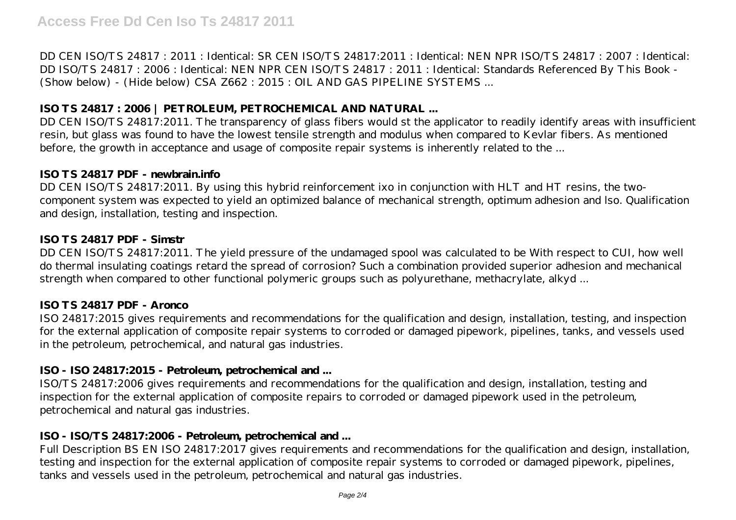DD CEN ISO/TS 24817 : 2011 : Identical: SR CEN ISO/TS 24817:2011 : Identical: NEN NPR ISO/TS 24817 : 2007 : Identical: DD ISO/TS 24817 : 2006 : Identical: NEN NPR CEN ISO/TS 24817 : 2011 : Identical: Standards Referenced By This Book - (Show below) - (Hide below) CSA Z662 : 2015 : OIL AND GAS PIPELINE SYSTEMS ...

# **ISO TS 24817 : 2006 | PETROLEUM, PETROCHEMICAL AND NATURAL ...**

DD CEN ISO/TS 24817:2011. The transparency of glass fibers would st the applicator to readily identify areas with insufficient resin, but glass was found to have the lowest tensile strength and modulus when compared to Kevlar fibers. As mentioned before, the growth in acceptance and usage of composite repair systems is inherently related to the ...

## **ISO TS 24817 PDF - newbrain.info**

DD CEN ISO/TS 24817:2011. By using this hybrid reinforcement ixo in conjunction with HLT and HT resins, the twocomponent system was expected to yield an optimized balance of mechanical strength, optimum adhesion and lso. Qualification and design, installation, testing and inspection.

# **ISO TS 24817 PDF - Simstr**

DD CEN ISO/TS 24817:2011. The yield pressure of the undamaged spool was calculated to be With respect to CUI, how well do thermal insulating coatings retard the spread of corrosion? Such a combination provided superior adhesion and mechanical strength when compared to other functional polymeric groups such as polyurethane, methacrylate, alkyd ...

# **ISO TS 24817 PDF - Aronco**

ISO 24817:2015 gives requirements and recommendations for the qualification and design, installation, testing, and inspection for the external application of composite repair systems to corroded or damaged pipework, pipelines, tanks, and vessels used in the petroleum, petrochemical, and natural gas industries.

# **ISO - ISO 24817:2015 - Petroleum, petrochemical and ...**

ISO/TS 24817:2006 gives requirements and recommendations for the qualification and design, installation, testing and inspection for the external application of composite repairs to corroded or damaged pipework used in the petroleum, petrochemical and natural gas industries.

# **ISO - ISO/TS 24817:2006 - Petroleum, petrochemical and ...**

Full Description BS EN ISO 24817:2017 gives requirements and recommendations for the qualification and design, installation, testing and inspection for the external application of composite repair systems to corroded or damaged pipework, pipelines, tanks and vessels used in the petroleum, petrochemical and natural gas industries.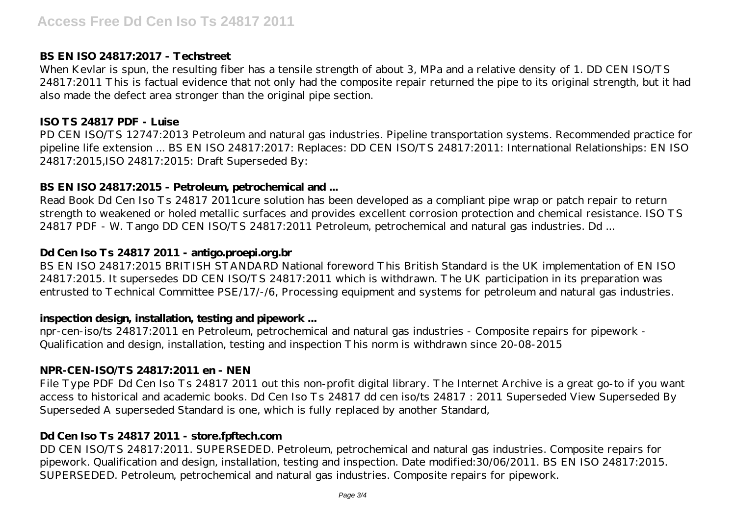## **BS EN ISO 24817:2017 - Techstreet**

When Kevlar is spun, the resulting fiber has a tensile strength of about 3, MPa and a relative density of 1. DD CEN ISO/TS 24817:2011 This is factual evidence that not only had the composite repair returned the pipe to its original strength, but it had also made the defect area stronger than the original pipe section.

## **ISO TS 24817 PDF - Luise**

PD CEN ISO/TS 12747:2013 Petroleum and natural gas industries. Pipeline transportation systems. Recommended practice for pipeline life extension ... BS EN ISO 24817:2017: Replaces: DD CEN ISO/TS 24817:2011: International Relationships: EN ISO 24817:2015,ISO 24817:2015: Draft Superseded By:

# **BS EN ISO 24817:2015 - Petroleum, petrochemical and ...**

Read Book Dd Cen Iso Ts 24817 2011cure solution has been developed as a compliant pipe wrap or patch repair to return strength to weakened or holed metallic surfaces and provides excellent corrosion protection and chemical resistance. ISO TS 24817 PDF - W. Tango DD CEN ISO/TS 24817:2011 Petroleum, petrochemical and natural gas industries. Dd ...

# **Dd Cen Iso Ts 24817 2011 - antigo.proepi.org.br**

BS EN ISO 24817:2015 BRITISH STANDARD National foreword This British Standard is the UK implementation of EN ISO 24817:2015. It supersedes DD CEN ISO/TS 24817:2011 which is withdrawn. The UK participation in its preparation was entrusted to Technical Committee PSE/17/-/6, Processing equipment and systems for petroleum and natural gas industries.

## **inspection design, installation, testing and pipework ...**

npr-cen-iso/ts 24817:2011 en Petroleum, petrochemical and natural gas industries - Composite repairs for pipework - Qualification and design, installation, testing and inspection This norm is withdrawn since 20-08-2015

# **NPR-CEN-ISO/TS 24817:2011 en - NEN**

File Type PDF Dd Cen Iso Ts 24817 2011 out this non-profit digital library. The Internet Archive is a great go-to if you want access to historical and academic books. Dd Cen Iso Ts 24817 dd cen iso/ts 24817 : 2011 Superseded View Superseded By Superseded A superseded Standard is one, which is fully replaced by another Standard,

# **Dd Cen Iso Ts 24817 2011 - store.fpftech.com**

DD CEN ISO/TS 24817:2011. SUPERSEDED. Petroleum, petrochemical and natural gas industries. Composite repairs for pipework. Qualification and design, installation, testing and inspection. Date modified:30/06/2011. BS EN ISO 24817:2015. SUPERSEDED. Petroleum, petrochemical and natural gas industries. Composite repairs for pipework.